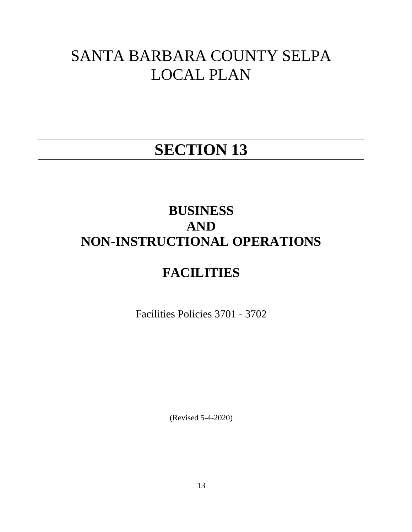# SANTA BARBARA COUNTY SELPA LOCAL PLAN

# **SECTION 13**

# **BUSINESS AND NON-INSTRUCTIONAL OPERATIONS**

# **FACILITIES**

Facilities Policies 3701 - 3702

(Revised 5-4-2020)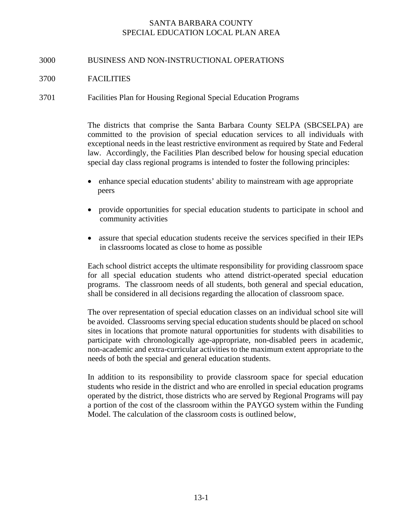#### 3000 BUSINESS AND NON-INSTRUCTIONAL OPERATIONS

#### 3700 FACILITIES

3701 Facilities Plan for Housing Regional Special Education Programs

The districts that comprise the Santa Barbara County SELPA (SBCSELPA) are committed to the provision of special education services to all individuals with exceptional needs in the least restrictive environment as required by State and Federal law. Accordingly, the Facilities Plan described below for housing special education special day class regional programs is intended to foster the following principles:

- enhance special education students' ability to mainstream with age appropriate peers
- provide opportunities for special education students to participate in school and community activities
- assure that special education students receive the services specified in their IEPs in classrooms located as close to home as possible

Each school district accepts the ultimate responsibility for providing classroom space for all special education students who attend district-operated special education programs. The classroom needs of all students, both general and special education, shall be considered in all decisions regarding the allocation of classroom space.

The over representation of special education classes on an individual school site will be avoided. Classrooms serving special education students should be placed on school sites in locations that promote natural opportunities for students with disabilities to participate with chronologically age-appropriate, non-disabled peers in academic, non-academic and extra-curricular activities to the maximum extent appropriate to the needs of both the special and general education students.

In addition to its responsibility to provide classroom space for special education students who reside in the district and who are enrolled in special education programs operated by the district, those districts who are served by Regional Programs will pay a portion of the cost of the classroom within the PAYGO system within the Funding Model. The calculation of the classroom costs is outlined below,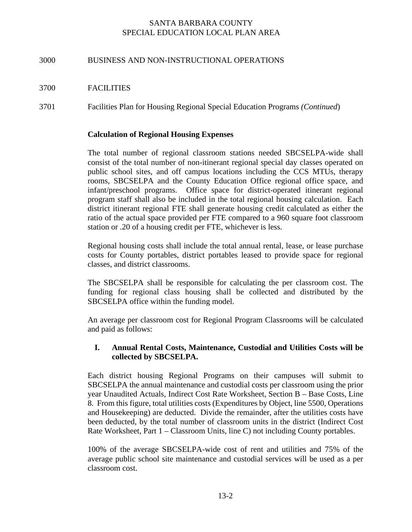#### 3000 BUSINESS AND NON-INSTRUCTIONAL OPERATIONS

#### 3700 FACILITIES

3701 Facilities Plan for Housing Regional Special Education Programs *(Continued*)

#### **Calculation of Regional Housing Expenses**

The total number of regional classroom stations needed SBCSELPA-wide shall consist of the total number of non-itinerant regional special day classes operated on public school sites, and off campus locations including the CCS MTUs, therapy rooms, SBCSELPA and the County Education Office regional office space, and infant/preschool programs. Office space for district-operated itinerant regional program staff shall also be included in the total regional housing calculation. Each district itinerant regional FTE shall generate housing credit calculated as either the ratio of the actual space provided per FTE compared to a 960 square foot classroom station or .20 of a housing credit per FTE, whichever is less.

Regional housing costs shall include the total annual rental, lease, or lease purchase costs for County portables, district portables leased to provide space for regional classes, and district classrooms.

The SBCSELPA shall be responsible for calculating the per classroom cost. The funding for regional class housing shall be collected and distributed by the SBCSELPA office within the funding model.

An average per classroom cost for Regional Program Classrooms will be calculated and paid as follows:

### **I. Annual Rental Costs, Maintenance, Custodial and Utilities Costs will be collected by SBCSELPA.**

Each district housing Regional Programs on their campuses will submit to SBCSELPA the annual maintenance and custodial costs per classroom using the prior year Unaudited Actuals, Indirect Cost Rate Worksheet, Section B – Base Costs, Line 8. From this figure, total utilities costs (Expenditures by Object, line 5500, Operations and Housekeeping) are deducted. Divide the remainder, after the utilities costs have been deducted, by the total number of classroom units in the district (Indirect Cost Rate Worksheet, Part 1 – Classroom Units, line C) not including County portables.

100% of the average SBCSELPA-wide cost of rent and utilities and 75% of the average public school site maintenance and custodial services will be used as a per classroom cost.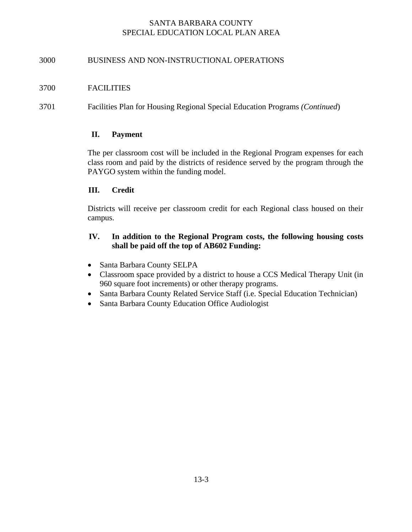### 3000 BUSINESS AND NON-INSTRUCTIONAL OPERATIONS

#### 3700 FACILITIES

3701 Facilities Plan for Housing Regional Special Education Programs *(Continued*)

#### **II. Payment**

The per classroom cost will be included in the Regional Program expenses for each class room and paid by the districts of residence served by the program through the PAYGO system within the funding model.

#### **III. Credit**

Districts will receive per classroom credit for each Regional class housed on their campus.

#### **IV. In addition to the Regional Program costs, the following housing costs shall be paid off the top of AB602 Funding:**

- Santa Barbara County SELPA
- Classroom space provided by a district to house a CCS Medical Therapy Unit (in 960 square foot increments) or other therapy programs.
- Santa Barbara County Related Service Staff (i.e. Special Education Technician)
- Santa Barbara County Education Office Audiologist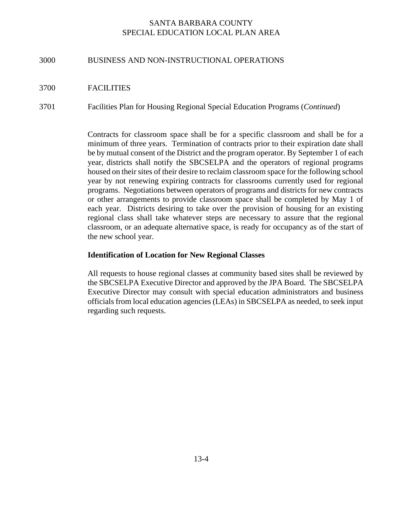#### 3000 BUSINESS AND NON-INSTRUCTIONAL OPERATIONS

#### 3700 FACILITIES

3701 Facilities Plan for Housing Regional Special Education Programs (*Continued*)

Contracts for classroom space shall be for a specific classroom and shall be for a minimum of three years. Termination of contracts prior to their expiration date shall be by mutual consent of the District and the program operator. By September 1 of each year, districts shall notify the SBCSELPA and the operators of regional programs housed on their sites of their desire to reclaim classroom space for the following school year by not renewing expiring contracts for classrooms currently used for regional programs. Negotiations between operators of programs and districts for new contracts or other arrangements to provide classroom space shall be completed by May 1 of each year. Districts desiring to take over the provision of housing for an existing regional class shall take whatever steps are necessary to assure that the regional classroom, or an adequate alternative space, is ready for occupancy as of the start of the new school year.

#### **Identification of Location for New Regional Classes**

All requests to house regional classes at community based sites shall be reviewed by the SBCSELPA Executive Director and approved by the JPA Board. The SBCSELPA Executive Director may consult with special education administrators and business officials from local education agencies (LEAs) in SBCSELPA as needed, to seek input regarding such requests.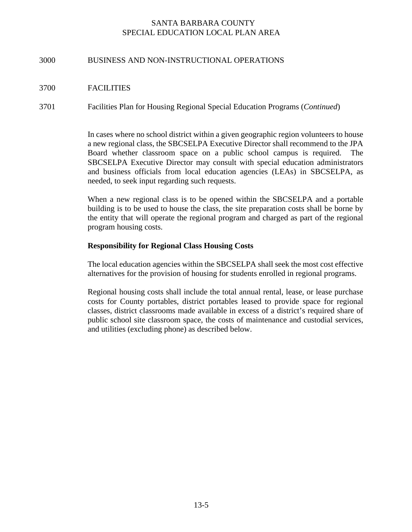#### 3000 BUSINESS AND NON-INSTRUCTIONAL OPERATIONS

#### 3700 FACILITIES

#### 3701 Facilities Plan for Housing Regional Special Education Programs (*Continued*)

In cases where no school district within a given geographic region volunteers to house a new regional class, the SBCSELPA Executive Director shall recommend to the JPA Board whether classroom space on a public school campus is required. The SBCSELPA Executive Director may consult with special education administrators and business officials from local education agencies (LEAs) in SBCSELPA, as needed, to seek input regarding such requests.

When a new regional class is to be opened within the SBCSELPA and a portable building is to be used to house the class, the site preparation costs shall be borne by the entity that will operate the regional program and charged as part of the regional program housing costs.

#### **Responsibility for Regional Class Housing Costs**

The local education agencies within the SBCSELPA shall seek the most cost effective alternatives for the provision of housing for students enrolled in regional programs.

Regional housing costs shall include the total annual rental, lease, or lease purchase costs for County portables, district portables leased to provide space for regional classes, district classrooms made available in excess of a district's required share of public school site classroom space, the costs of maintenance and custodial services, and utilities (excluding phone) as described below.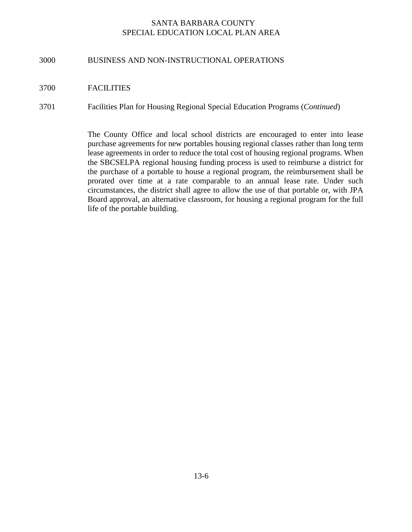#### 3000 BUSINESS AND NON-INSTRUCTIONAL OPERATIONS

#### 3700 FACILITIES

#### 3701 Facilities Plan for Housing Regional Special Education Programs (*Continued*)

The County Office and local school districts are encouraged to enter into lease purchase agreements for new portables housing regional classes rather than long term lease agreements in order to reduce the total cost of housing regional programs. When the SBCSELPA regional housing funding process is used to reimburse a district for the purchase of a portable to house a regional program, the reimbursement shall be prorated over time at a rate comparable to an annual lease rate. Under such circumstances, the district shall agree to allow the use of that portable or, with JPA Board approval, an alternative classroom, for housing a regional program for the full life of the portable building.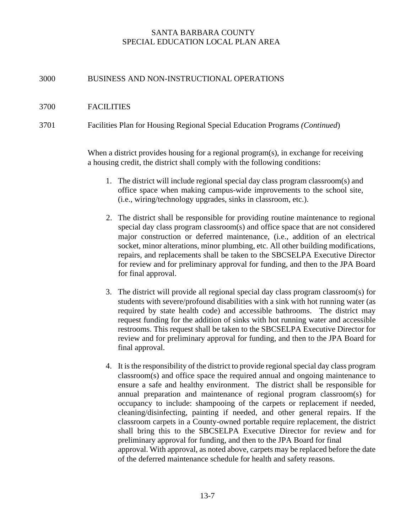#### 3000 BUSINESS AND NON-INSTRUCTIONAL OPERATIONS

#### 3700 FACILITIES

3701 Facilities Plan for Housing Regional Special Education Programs *(Continued*)

When a district provides housing for a regional program(s), in exchange for receiving a housing credit, the district shall comply with the following conditions:

- 1. The district will include regional special day class program classroom(s) and office space when making campus-wide improvements to the school site, (i.e., wiring/technology upgrades, sinks in classroom, etc.).
- 2. The district shall be responsible for providing routine maintenance to regional special day class program classroom(s) and office space that are not considered major construction or deferred maintenance, (i.e., addition of an electrical socket, minor alterations, minor plumbing, etc. All other building modifications, repairs, and replacements shall be taken to the SBCSELPA Executive Director for review and for preliminary approval for funding, and then to the JPA Board for final approval.
- 3. The district will provide all regional special day class program classroom(s) for students with severe/profound disabilities with a sink with hot running water (as required by state health code) and accessible bathrooms. The district may request funding for the addition of sinks with hot running water and accessible restrooms. This request shall be taken to the SBCSELPA Executive Director for review and for preliminary approval for funding, and then to the JPA Board for final approval.
- 4. It is the responsibility of the district to provide regional special day class program classroom(s) and office space the required annual and ongoing maintenance to ensure a safe and healthy environment. The district shall be responsible for annual preparation and maintenance of regional program classroom(s) for occupancy to include: shampooing of the carpets or replacement if needed, cleaning/disinfecting, painting if needed, and other general repairs. If the classroom carpets in a County-owned portable require replacement, the district shall bring this to the SBCSELPA Executive Director for review and for preliminary approval for funding, and then to the JPA Board for final approval. With approval, as noted above, carpets may be replaced before the date of the deferred maintenance schedule for health and safety reasons.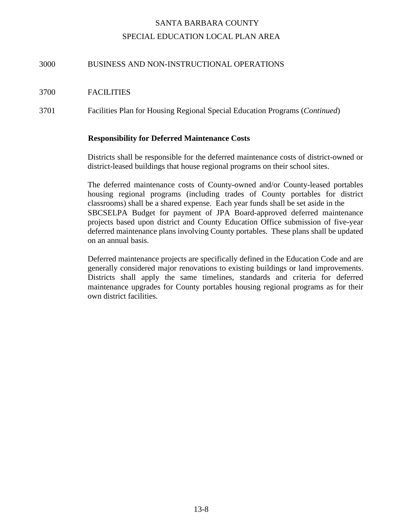### 3000 BUSINESS AND NON-INSTRUCTIONAL OPERATIONS

#### 3700 FACILITIES

3701 Facilities Plan for Housing Regional Special Education Programs (*Continued*)

#### **Responsibility for Deferred Maintenance Costs**

Districts shall be responsible for the deferred maintenance costs of district-owned or district-leased buildings that house regional programs on their school sites.

The deferred maintenance costs of County-owned and/or County-leased portables housing regional programs (including trades of County portables for district classrooms) shall be a shared expense. Each year funds shall be set aside in the SBCSELPA Budget for payment of JPA Board-approved deferred maintenance projects based upon district and County Education Office submission of five-year deferred maintenance plans involving County portables. These plans shall be updated on an annual basis.

Deferred maintenance projects are specifically defined in the Education Code and are generally considered major renovations to existing buildings or land improvements. Districts shall apply the same timelines, standards and criteria for deferred maintenance upgrades for County portables housing regional programs as for their own district facilities.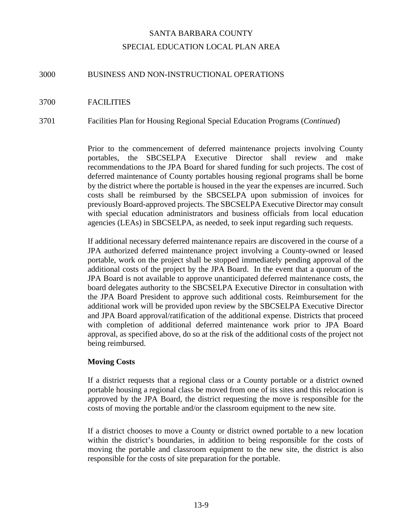#### 3000 BUSINESS AND NON-INSTRUCTIONAL OPERATIONS

#### 3700 FACILITIES

#### 3701 Facilities Plan for Housing Regional Special Education Programs (*Continued*)

Prior to the commencement of deferred maintenance projects involving County portables, the SBCSELPA Executive Director shall review and make recommendations to the JPA Board for shared funding for such projects. The cost of deferred maintenance of County portables housing regional programs shall be borne by the district where the portable is housed in the year the expenses are incurred. Such costs shall be reimbursed by the SBCSELPA upon submission of invoices for previously Board-approved projects. The SBCSELPA Executive Director may consult with special education administrators and business officials from local education agencies (LEAs) in SBCSELPA, as needed, to seek input regarding such requests.

If additional necessary deferred maintenance repairs are discovered in the course of a JPA authorized deferred maintenance project involving a County-owned or leased portable, work on the project shall be stopped immediately pending approval of the additional costs of the project by the JPA Board. In the event that a quorum of the JPA Board is not available to approve unanticipated deferred maintenance costs, the board delegates authority to the SBCSELPA Executive Director in consultation with the JPA Board President to approve such additional costs. Reimbursement for the additional work will be provided upon review by the SBCSELPA Executive Director and JPA Board approval/ratification of the additional expense. Districts that proceed with completion of additional deferred maintenance work prior to JPA Board approval, as specified above, do so at the risk of the additional costs of the project not being reimbursed.

#### **Moving Costs**

If a district requests that a regional class or a County portable or a district owned portable housing a regional class be moved from one of its sites and this relocation is approved by the JPA Board, the district requesting the move is responsible for the costs of moving the portable and/or the classroom equipment to the new site.

If a district chooses to move a County or district owned portable to a new location within the district's boundaries, in addition to being responsible for the costs of moving the portable and classroom equipment to the new site, the district is also responsible for the costs of site preparation for the portable.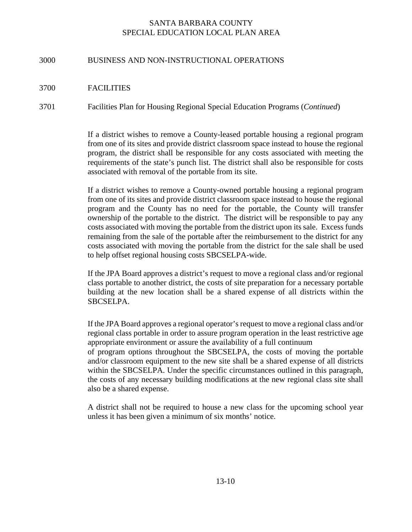### 3000 BUSINESS AND NON-INSTRUCTIONAL OPERATIONS

#### 3700 FACILITIES

#### 3701 Facilities Plan for Housing Regional Special Education Programs (*Continued*)

If a district wishes to remove a County-leased portable housing a regional program from one of its sites and provide district classroom space instead to house the regional program, the district shall be responsible for any costs associated with meeting the requirements of the state's punch list. The district shall also be responsible for costs associated with removal of the portable from its site.

If a district wishes to remove a County-owned portable housing a regional program from one of its sites and provide district classroom space instead to house the regional program and the County has no need for the portable, the County will transfer ownership of the portable to the district. The district will be responsible to pay any costs associated with moving the portable from the district upon its sale. Excess funds remaining from the sale of the portable after the reimbursement to the district for any costs associated with moving the portable from the district for the sale shall be used to help offset regional housing costs SBCSELPA-wide.

If the JPA Board approves a district's request to move a regional class and/or regional class portable to another district, the costs of site preparation for a necessary portable building at the new location shall be a shared expense of all districts within the SBCSELPA.

If the JPA Board approves a regional operator's request to move a regional class and/or regional class portable in order to assure program operation in the least restrictive age appropriate environment or assure the availability of a full continuum

of program options throughout the SBCSELPA, the costs of moving the portable and/or classroom equipment to the new site shall be a shared expense of all districts within the SBCSELPA. Under the specific circumstances outlined in this paragraph, the costs of any necessary building modifications at the new regional class site shall also be a shared expense.

A district shall not be required to house a new class for the upcoming school year unless it has been given a minimum of six months' notice.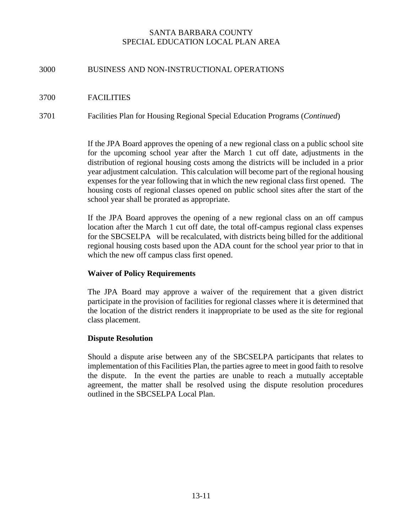#### 3000 BUSINESS AND NON-INSTRUCTIONAL OPERATIONS

#### 3700 FACILITIES

#### 3701 Facilities Plan for Housing Regional Special Education Programs (*Continued*)

If the JPA Board approves the opening of a new regional class on a public school site for the upcoming school year after the March 1 cut off date, adjustments in the distribution of regional housing costs among the districts will be included in a prior year adjustment calculation. This calculation will become part of the regional housing expenses for the year following that in which the new regional class first opened. The housing costs of regional classes opened on public school sites after the start of the school year shall be prorated as appropriate.

If the JPA Board approves the opening of a new regional class on an off campus location after the March 1 cut off date, the total off-campus regional class expenses for the SBCSELPA will be recalculated, with districts being billed for the additional regional housing costs based upon the ADA count for the school year prior to that in which the new off campus class first opened.

#### **Waiver of Policy Requirements**

The JPA Board may approve a waiver of the requirement that a given district participate in the provision of facilities for regional classes where it is determined that the location of the district renders it inappropriate to be used as the site for regional class placement.

#### **Dispute Resolution**

Should a dispute arise between any of the SBCSELPA participants that relates to implementation of this Facilities Plan, the parties agree to meet in good faith to resolve the dispute. In the event the parties are unable to reach a mutually acceptable agreement, the matter shall be resolved using the dispute resolution procedures outlined in the SBCSELPA Local Plan.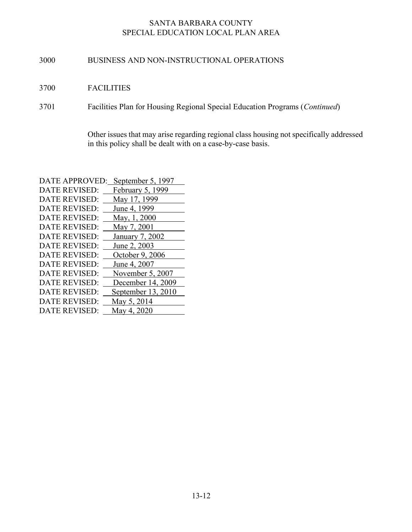## 3000 BUSINESS AND NON-INSTRUCTIONAL OPERATIONS

#### 3700 FACILITIES

3701 Facilities Plan for Housing Regional Special Education Programs (Continued)

Other issues that may arise regarding regional class housing not specifically addressed in this policy shall be dealt with on a case-by-case basis.

| DATE APPROVED:       | September 5, 1997   |
|----------------------|---------------------|
| <b>DATE REVISED:</b> | February 5, 1999    |
| <b>DATE REVISED:</b> | May 17, 1999        |
| <b>DATE REVISED:</b> | June 4, 1999        |
| <b>DATE REVISED:</b> | <u>May, 1, 2000</u> |
| <b>DATE REVISED:</b> | May 7, 2001         |
| <b>DATE REVISED:</b> | January 7, 2002     |
| <b>DATE REVISED:</b> | June 2, 2003        |
| <b>DATE REVISED:</b> | October 9, 2006     |
| <b>DATE REVISED:</b> | June 4, 2007        |
| <b>DATE REVISED:</b> | November 5, 2007    |
| <b>DATE REVISED:</b> | December 14, 2009   |
| <b>DATE REVISED:</b> | September 13, 2010  |
| <b>DATE REVISED:</b> | May 5, 2014         |
| <b>DATE REVISED:</b> | May 4, 2020         |
|                      |                     |

DATE APPROVED: September 5, 1997